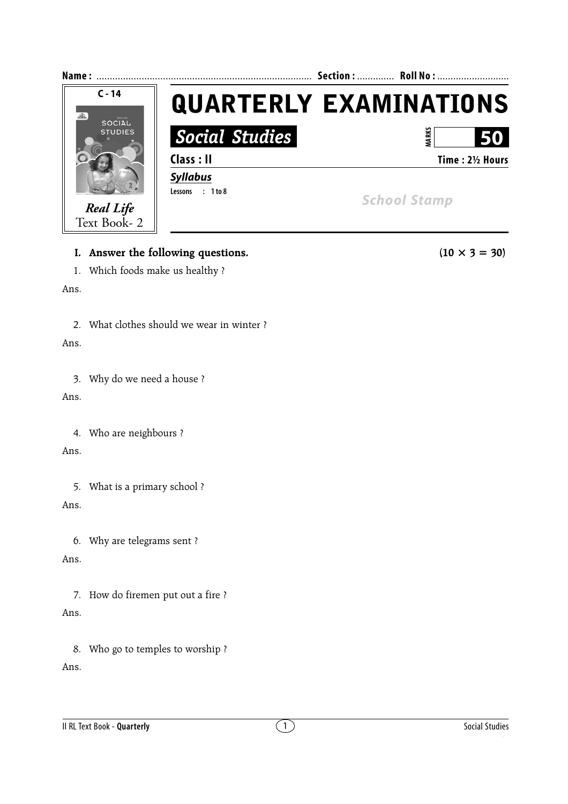

# **I.** Answer the following questions. (10  $\times$  3 = 30)

1. Which foods make us healthy ?

#### Ans.

2. What clothes should we wear in winter ?

### Ans.

3. Why do we need a house ?

Ans.

4. Who are neighbours ?

Ans.

5. What is a primary school ?

## Ans.

6. Why are telegrams sent ?

## Ans.

7. How do firemen put out a fire ? Ans.

8. Who go to temples to worship ? Ans.